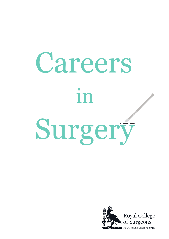# Careers in Surgery

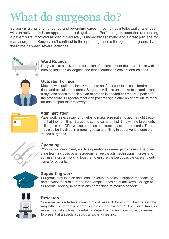## What do surgeons do?

Surgery is a challenging, varied and rewarding career. It combines intellectual challenges with an active, hands-on approach to treating disease. Performing an operation and seeing a patient's life improved almost immediately is incredibly satisfying and a great privilege for many surgeons. Surgery isn't confined to the operating theatre though and surgeons divide their time between several activities.



#### **Ward Rounds**

Daily visits to check on the condition of patients under their care, liaise with nursing staff and colleagues and teach foundation doctors and trainees.



#### **Outpatient clinics**

Meeting with patients, family members and/or carers to discuss treatment options and explain procedures. Surgeons will also undertake tests and arrange x-rays and scans to decide if an operation is needed or prepare a patient for the procedure. Surgeons meet with patients again after an operation, to monitor and support their recovery.



#### **Administration**

Paperwork is necessary and helps to make sure patients get the right treatment at the right time. Surgeons spend some of their time writing to patients, colleagues and GPs, writing up notes and keeping accurate records. They may also be involved in arranging rotas and filling in paperwork to support trainee surgeons.



#### **Operating**

Working on pre-booked, elective operations or emergency cases. The operating team includes other surgeons, anaesthetists, technicians, nurses and administrators all working together to ensure the best possible care and outcome for patients.



#### **Supporting work**

Surgeons may take on additional or voluntary roles to support the teaching and development of surgery, for example, teaching at the Royal College of Surgeons, working in admissions or teaching at medical schools.



#### **Research**

Surgeons will undertake many forms of research throughout their career; this may either be formal research, such as undertaking a PhD or clinical trials, or more informal such as undertaking departmental audits or individual research to present at a specialist surgical society meeting.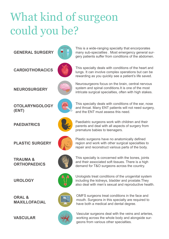## What kind of surgeon could you be?

**GENERAL SURGERY**



**CARDIOTHORACICS**

**NEUROSURGERY**

This specialty deals with conditions of the heart and lungs. It can involve complex operations but can be rewarding as you quickly see a patient's life saved.

This is a wide-ranging specialty that encorporates many sub-specialties . Most emergency general surgery patients suffer from conditions of the abdomen.



Neurosurgeons focus on the brain, central nervous system and spinal conditions.It is one of the most intricate surgical specialties, often with high stakes.



**PAEDIATRICS**



This specialty deals with conditions of the ear, nose and throat. Many ENT patients will not need surgery, and the ENT must assess this need.

Paediatric surgeons work with children and their parents and deal with all aspects of surgery from premature babies to teenagers.



Plastic surgeons have no anatomically defined region and work with other surgical specialties to repair and reconstruct various parts of the body.



This specialty is concerned with the bones, joints and their associated soft tissues. There is a high demand for T&O surgeons across the country.



Urologists treat conditions of the urogenital system including the kidneys, bladder and prostate.They also deal with men's sexual and reproductive health.



OMFS surgeons treat conditions in the face and mouth. Surgeons in this specialty are required to have both a medical and dental degree.



Vascular surgeons deal with the veins and arteries, working across the whole body and alongside surgeons from various other specialties.

**PLASTIC SURGERY**

**TRAUMA & ORTHOPAEDICS**

**UROLOGY**

**ORAL & MAXILLOFACIAL**

**VASCULAR**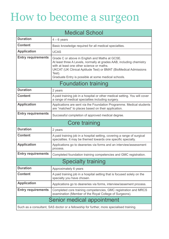### How to become a surgeon

| <b>Medical School</b>      |                                                                                                                                                                                                                                                                                                          |
|----------------------------|----------------------------------------------------------------------------------------------------------------------------------------------------------------------------------------------------------------------------------------------------------------------------------------------------------|
| <b>Duration</b>            | $4 - 6$ years                                                                                                                                                                                                                                                                                            |
| <b>Content</b>             | Basic knowledge required for all medical specialties.                                                                                                                                                                                                                                                    |
| <b>Application</b>         | <b>UCAS</b>                                                                                                                                                                                                                                                                                              |
| <b>Entry requirements</b>  | Grade C or above in English and Maths at GCSE.<br>At least three A Levels, normally at grades AAB, including chemistry<br>with at least one other science or maths.<br>UKCAT (UK Clinical Aptitude Test) or BMAT (BioMedical Admissions<br>Test).<br>Graduate Entry is possible at some medical schools. |
| <b>Foundation training</b> |                                                                                                                                                                                                                                                                                                          |
| <b>Duration</b>            | 2 years                                                                                                                                                                                                                                                                                                  |
| <b>Content</b>             | A paid training job in a hospital or other medical setting. You will cover<br>a range of medical specialties including surgery.                                                                                                                                                                          |
| <b>Application</b>         | Applications are sent via the Foundation Programme. Medical students<br>are "matched" to places based on their application.                                                                                                                                                                              |
| <b>Entry requirements</b>  | Successful completion of approved medical degree.                                                                                                                                                                                                                                                        |
| <b>Core training</b>       |                                                                                                                                                                                                                                                                                                          |
|                            |                                                                                                                                                                                                                                                                                                          |
| <b>Duration</b>            | 2 years                                                                                                                                                                                                                                                                                                  |
| <b>Content</b>             | A paid training job in a hospital setting, covering a range of surgical<br>specialties. It may be themed towards one specific specialty.                                                                                                                                                                 |
| <b>Application</b>         | Applications go to deaneries via forms and an interview/assessment<br>process.                                                                                                                                                                                                                           |
| <b>Entry requirements</b>  | Completed foundation training competencies and GMC registration                                                                                                                                                                                                                                          |
|                            | <b>Specialty training</b>                                                                                                                                                                                                                                                                                |
| <b>Duration</b>            | Approximately 6 years                                                                                                                                                                                                                                                                                    |
| <b>Content</b>             | A paid training job in a hospital setting that is focused solely on the<br>specialty you have chosen.                                                                                                                                                                                                    |
| <b>Application</b>         | Applications go to deaneries via forms, interview/assement process.                                                                                                                                                                                                                                      |
| <b>Entry requirements</b>  | Completed core training competencies, GMC registration and MRCS<br>examination (Member of the Royal College of Surgeons).                                                                                                                                                                                |
|                            | Senior medical appointment                                                                                                                                                                                                                                                                               |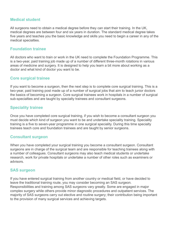#### **Medical student**

All surgeons need to obtain a medical degree before they can start their training. In the UK, medical degrees are between four and six years in duration. The standard medical degree takes five years and teaches you the basic knowledge and skills you need to begin a career in any of the medical specialties.

#### **Foundation trainee**

All doctors who want to train or work in the UK need to complete the Foundation Programme. This is a two-year, paid training job made up of a number of different three-month rotations in various areas of medicine and surgery. It is designed to help you learn a bit more about working as a doctor and what kind of doctor you want to be.

#### **Core surgical trainee**

If you want to become a surgeon, then the next step is to complete core surgical training. This is a two-year, paid training post made up of a number of surgical jobs that aim to teach junior doctors the basics of becoming a surgeon. Core surgical trainees work in hospitals in a number of surgical sub-specialties and are taught by specialty trainees and consultant surgeons.

#### **Speciality trainee**

Once you have completed core surgical training, if you wish to become a consultant surgeon you must decide which kind of surgeon you want to be and undertake speciality training. Speciality training is a five to seven-year programme in one surgical speciality. During this time specialty trainees teach core and foundation trainees and are taught by senior surgeons.

#### **Consultant surgeon**

When you have completed your surgical training you become a consultant surgeon. Consultant surgeons are in charge of the surgical team and are responsible for teaching trainees along with a number of colleagues. Consultant surgeons may also teach medical students or undertake research, work for private hospitals or undertake a number of other roles such as examiners or advisors.

#### **SAS surgeon**

If you have entered surgical training from another country or medical field, or have decided to leave the traditional training route, you may consider becoming an SAS surgeon. Responsibilities and training among SAS surgeons vary greatly. Some are engaged in major complex surgery while others provide minor diagnostic procedures and outpatient services. The majority of SAS surgeons carry out elective and routine surgery; their contribution being important to the provision of many surgical services and achieving targets.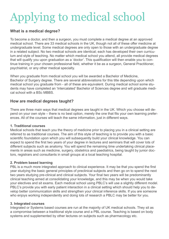# Applying to medical school

#### **What is a medical degree?**

To become a doctor, and then a surgeon, you must complete a medical degree at an approved medical school. There are 33 medical schools in the UK, though not all of these offer medicine at undergraduate level. Some medical degrees are only open to those with an undergraduate degree in a related subject. No two medical schools are identical; each has developed their own curriculum and style of teaching. No matter which medical school you attend, all provide medical degrees that will qualify you upon graduation as a 'doctor'. This qualification will then enable you to continue training in your chosen professional field, whether it be as a surgeon, General Practitioner, psychiatrist, or any other medical specialty.

When you graduate from medical school you will be awarded a Bachelor of Medicine, Bachelor of Surgery degree. There are several abbreviations for this title depending upon which medical school you graduate from - all of these are equivalent. During medical school some students may have completed an 'Intercalated' Bachelor of Sciences degree and will graduate medical school with a BSc MBBS.

#### **How are medical degrees taught?**

There are three main ways that medical degrees are taught in the UK. Which you choose will depend on your own style – there is no best option, merely the one that fits your own learning preferences. All of the courses will teach the same information, just in different ways.

#### **1. Traditional courses**

Medical schools that teach you the theory of medicine prior to placing you in a clinical setting are referred to as traditional courses. The aim of this style of teaching is to provide you with a basic scientific foundation upon which you will subsequently build your clinical knowledge. You can expect to spend the first two years of your degree in lectures and seminars that will cover lots of different subjects such as anatomy. You will spend the remaining time undertaking clinical placements in areas such as medicine, surgery, obstetrics and paediatrics, being taught by junior doctors, registrars and consultants in small groups at a local teaching hospital.

#### **2. Problem based learning**

PBL is a much more integrated approach to clinical experience. It may be that you spend the first year studying the basic general principles of preclinical subjects and then go on to spend the next two years studying pre-clinical and clinical subjects. Your final two years will be predominantly clinical teaching aimed at consolidating your knowledge, and this may be when you would take your electives and sit exams. Each medical school using PBLC's will use a slightly different model. PBLC's provide you with early patient interaction in a clinical setting which should help you to develop better communication skills and strengthen your clinical inference skills. If you are someone who enjoys working independently and doing lots of research a PBLC may be better for you.

#### **3. Integrated courses**

Integrated or Systems based courses are run at the majority of UK medical schools. They sit as a compromise between a traditional style course and a PBL course. Teaching is based on body systems and supplemented by other lectures on subjects such as pharmacology etc.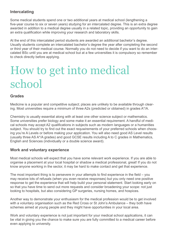#### **Intercalating**

Some medical students spend one or two additional years at medical school (lengthening a five-year course to six or seven years) studying for an intercalated degree. This is an extra degree awarded in addition to a medical degree usually in a related topic, providing an opportunity to gain an extra qualification while improving your research and laboratory skills.

At the end of this intercalated period students are awarded an additional bachelor's degree. Usually students complete an intercalated bachelor's degree the year after completing the second or third year of their medical course. Normally you do not need to decide if you want to do an intercalated BSc until you are at medical school but at a few universities it is compulsory so remember to check directly before applying.

### How to get into medical school

#### **Grades**

Medicine is a popular and competitive subject; places are unlikely to be available through clearing. Most universities require a minimum of three A2s (predicted or obtained) in grades A\*/A.

Chemistry is usually essential along with at least one other science subject or mathematics. Some universities prefer biology and some make it an essential requirement. A handful of medical schools may accept A2 qualifications in subjects such as modern languages or a humanities subject. You should try to find out the exact requwirements of your preferred schools when choosing you're A Levels or before making your application. You will also need good AS Level results (usually three AS A\*/A grades) and good GCSE results including A to C grades in Mathematics, English and Sciences (individually or a double science award).

#### **Work and voluntary experience**

Most medical schools will expect that you have some relevant work experience. If you are able to organise a placement at your local hospital or shadow a medical professional, great! If you do not know anyone working in the sector, it may be hard to make contact and get that experience.

The most important thing is to persevere in your attempts to find experience in the field – you may receive lots of refusals (when you even receive responses) but you only need one positive response to get the experience that will help build your personal statement. Start looking early on so that you have time to send out more requests and consider broadening your scope: not just looking to hospitals, but also considering GP surgeries, nursing homes, and hospices.

Another way to demonstrate your enthusiasm for the medical profession would be to get involved with a voluntary organisation such as the Red Cross or St John's Ambulance – they both have schemes aimed at young people and they might have opportunities in your local area.

Work and voluntary experience is not just important for your medical school applications, it can be vital in giving you the chance to make sure you are fully committed to a medical career before even applying to university.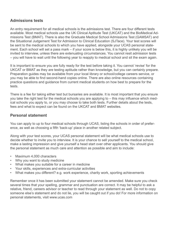#### **Admissions tests**

An entry requirement for all medical schools is the admissions test. There are four different tests available. Most medical schools use the UK Clinical Aptitude Test (UKCAT) and the BioMedical Admissions Test (BMAT). There is also the Graduate Medical School Admissions Test (GAMSAT) and the Situational Judgement Test for Admission to Clinical Education (SJTace). Your test scores will be sent to the medical schools to which you have applied, alongside your UCAS personal statement. Each school will set a pass mark – if your score is below this, it is highly unlikely you will be invited to interview, unless there are extenuating circumstances. You cannot resit admission tests – you will have to wait until the following year to reapply to medical school and sit the exam again.

It is important to ensure you are fully ready for the test before taking it. You cannot 'revise' for the UKCAT or BMAT as they are testing aptitude rather than knowledge, but you can certainly prepare. Preparation guides may be available from your local library or school/college careers service, or you may be able to find second-hand copies online. There are also online resources containing practice questions and guidance from current medical students on how best to prepare for the tests.

There is a fee for taking either test but bursaries are available. It is most important that you ensure you take the right test for the medical schools you are applying to – this may influence which medical schools you apply to, or you may choose to take both tests. Further details about the tests, fees and what to expect can be found on the UKCAT and BMAT websites.

#### **Personal statement**

You can apply to up to four medical schools through UCAS, listing the schools in order of preference, as well as choosing a fifth 'back-up' place in another related subject.

Along with your test scores, your UCAS personal statement will be what medical schools use to decide whether to invite you to interview. It is your chance to sell yourself to the medical school, make a lasting impression and give yourself a head start over other applicants. You should give the personal statement as much care and attention as possible and aim to include:

- Maximum 4,000 characters
- Why you want to study medicine
- What makes you suitable for a career in medicine
- Your skills, experiences and extra-curricular activities
- What makes you different? e.g. work experience, charity work, sporting achievements

Remember once it has been submitted your statement cannot be amended. Make sure you check several times that your spelling, grammar and punctuation are correct. It may be helpful to ask a relative, friend, careers advisor or teacher to read through your statement as well. Do not to copy someone else's statement and do not lie, you will be caught out if you do! For more information on personal statements, visit www.ucas.com